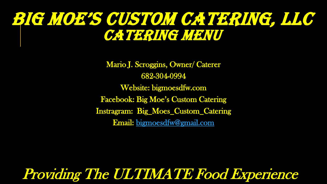# BIG MOE'S CUSTOM CATERING, LLC CATERING NEWU

Mario J. Scroggins, Owner/ Caterer 682-304-0994 Website: bigmoesdfw.com Facebook: Big Moe's Custom Catering Instragram: Big\_Moes\_Custom\_Catering Email: [bigmoesdfw@gmail.com](mailto:bigmoesdfw@gmail.com)

Providing The ULTIMATE Food Experience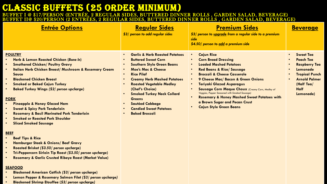## CLASSIC BUFFETS (25 ORDER MINIMUM)

BUFFET I @ \$17/PERSON (ENTRÉE, 2 REGULAR SIDES, BUTTERED DINNER ROLLS , GARDEN SALAD, BEVERAGE) BUFFET II@ \$20/PERSON (2 ENTRÉES, 2 REGULAR SIDES, BUTTERED DINNER ROLLS , GARDEN SALAD, BEVERAGE)

| <b>Entrée Options</b>                                                                                                                                                                                                                                                                                                                                                                                                                                                                                                                                                                                                                                                                                         | <b>Regular Sides</b><br>\$3/ person to add regular sides                                                                                                                                                                                                                                                                                                                                                                                        | <b>Premium Sides</b><br>\$3/ person to upgrade from a regular side to a premium<br>side<br>\$4.50/ person to add a premium side                                                                                                                                                                                                                                                                                                                                                                                 | <b>Beverage</b>                                                                                                                                                     |
|---------------------------------------------------------------------------------------------------------------------------------------------------------------------------------------------------------------------------------------------------------------------------------------------------------------------------------------------------------------------------------------------------------------------------------------------------------------------------------------------------------------------------------------------------------------------------------------------------------------------------------------------------------------------------------------------------------------|-------------------------------------------------------------------------------------------------------------------------------------------------------------------------------------------------------------------------------------------------------------------------------------------------------------------------------------------------------------------------------------------------------------------------------------------------|-----------------------------------------------------------------------------------------------------------------------------------------------------------------------------------------------------------------------------------------------------------------------------------------------------------------------------------------------------------------------------------------------------------------------------------------------------------------------------------------------------------------|---------------------------------------------------------------------------------------------------------------------------------------------------------------------|
| <b>POULTRY</b><br>Herb & Lemon Roasted Chicken (Bone In)<br><b>Smothered Chicken/ Poultry Gravy</b><br><b>Italian Herb Chicken Breast/ Mushroom &amp; Rosemary Cream</b><br><b>Sauce</b><br><b>Blackened Chicken Breast</b><br><b>Smoked or Baked Cajun Turkey</b><br><b>Baked Turkey Wings (\$2/ person upcharge)</b><br><b>PORK</b><br><b>Pineapple &amp; Honey Glazed Ham</b><br><b>Sweet &amp; Spicy Pork Tenderloin</b><br><b>Rosemary &amp; Basil Marinated Pork Tenderloin</b><br><b>Smoked or Roasted Pork Shoulder</b><br><b>Sliced Smoked Sausage</b><br><b>BEEF</b><br><b>Beef Tips &amp; Rice</b><br><b>Hamburger Steak &amp; Onions/ Beef Gravy</b><br>Roasted Brisket (\$3.50/ person upcharge) | <b>Garlic &amp; Herb Roasted Potatoes</b><br><b>Buttered Sweet Corn</b><br><b>Southern Style Green Beans</b><br><b>Moe's Mac &amp; Cheese</b><br>$\bullet$<br><b>Rice Pilaf</b><br>$\bullet$<br><b>Creamy Herb Mashed Potatoes</b><br><b>Roasted Vegetable Medley</b><br>$\bullet$<br>(Chef's Choice)<br><b>Smoked Turkey Neck Collard</b><br><b>Greens</b><br><b>Sautéed Cabbage</b><br><b>Candied Sweet Potatoes</b><br><b>Baked Broccoli</b> | <b>Cajun Rice</b><br><b>Corn Bread Dressing</b><br><b>Loaded Mashed Potatoes</b><br><b>Red Beans &amp; Rice/ Sausage</b><br><b>Broccoli &amp; Cheese Casserole</b><br>9 Cheese Mac/ Bacon & Green Onions<br>$\bullet$<br><b>Teriyaki Glazed Asparagus</b><br>$\bullet$<br><b>Sausage Corn Maque Choux (Creamy Corn, Medley of</b><br>Veggies, Pepper Seasoned with Smoked Sausage)<br><b>Rosemary &amp; Honey Mashed Sweet Potatoes with</b><br>a Brown Sugar and Pecan Crust<br><b>Cajun Style Green Beans</b> | <b>Sweet Tea</b><br><b>Peach Tea</b><br><b>Raspberry Tea</b><br>Lemonade<br><b>Tropical Punch</b><br><b>Arnold Palmer</b><br>(Half Tea/<br><b>Half</b><br>Lemonade) |

**SEAFOOD**

• **Tri-Peppercorn Sirloin Tip Roast** *(\$3.50/ person upcharge***)** • **Rosemary & Garlic Crusted Ribeye Roast (Market Value)**

- **Blackened American Catfish** *(\$3/ person upcharge***)**
- **Lemon Pepper & Rosemary Salmon Filet** *(\$3/ person upcharge)*
- **Blackened Shrimp Etouffee (***\$3/ person upcharge)*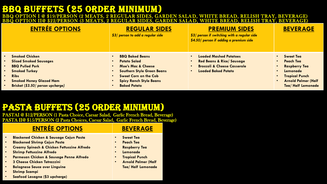## BBQ BUFFETS (25 ORDER MINIMUM)

#### /PERSON (2 MEATS, 2 REGULAR SIDES, GARDEN SALAD, WHITE BREAD, RELISH TRAY, BEVERAGE) BBQ OPTION II@ \$22/PERSON (3 MEATS, 2 REGULAR SIDES, GARDEN SALAD, WHITE BREAD, RELISH TRAY, BEVERAGE) **ENTRÉE OPTIONS REGULAR SIDES** *\$3/ person to add a regular side* **PREMIUM SIDES** *\$3/ person if switching with a regular side \$4.50/ person if adding a premium side* **BEVERAGE** • **Smoked Chicken** • **Sliced Smoked Sausages** • **BBQ Pulled Pork** • **Smoked Turkey** • **Ribs** • **Smoked Honey Glazed Ham** • **Brisket (***\$3.50/ person upcharge)* • **BBQ Baked Beans** • **Potato Salad** • **Moe's Mac & Cheese** • **Southern Style Green Beans Sweet Corn on the Cob** • **Spicy Ranch Style Beans** • **Baked Potato** • **Loaded Mashed Potatoes** • **Red Beans & Rice/ Sausage** • **Broccoli & Cheese Casserole** • **Loaded Baked Potato** • **Sweet Tea** • **Peach Tea** • **Raspberry Tea** • **Lemonade** • **Tropical Punch** • **Arnold Palmer (Half Tea/ Half Lemonade**

### pasta Buffets (25 order minimum)

PASTAI @ \$12/PERSON (1 Pasta Choice, Caesar Salad, Garlic French Bread, Beverage) PASTA II@ \$15/PERSON (2 Pasta Choices, Caesar Salad, Garlic French Bread, Beverage)

### **ENTRÉE OPTIONS BEVERAGE**

- **Blackened Chicken & Sausage Cajun Pasta**
- **Blackened Shrimp Cajun Pasta**
- **Creamy Spinach & Chicken Fettuccine Alfredo**
- **Shrimp Fettuccine Alfredo**
- **Parmesan Chicken & Sausage Penne Alfredo**
- **3 Cheese Chicken Tetrazzini**
- **Bolognese Sauce over Linguine**
- **Shrimp Scampi**
- **Seafood Lasagna (\$3 upcharge)**

- **Sweet Tea**
- **Peach Tea**
- **Raspberry Tea**
- **Lemonade**
- **Tropical Punch**
- **Arnold Palmer (Half Tea/ Half Lemonade**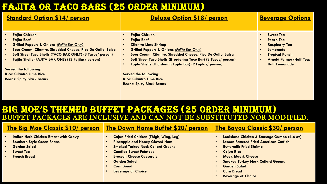## FAJITA OR TACO BARS (25 ORDER MINIMUM)

| <b>Standard Option \$14/ person</b>                                                                                                                                                                                                                                                                                                                                                           | <b>Deluxe Option \$18/ person</b>                                                                                                                                                                                                                                                                                                                                                                                                                                    | <b>Beverage Options</b>                                                                                                                                                                             |
|-----------------------------------------------------------------------------------------------------------------------------------------------------------------------------------------------------------------------------------------------------------------------------------------------------------------------------------------------------------------------------------------------|----------------------------------------------------------------------------------------------------------------------------------------------------------------------------------------------------------------------------------------------------------------------------------------------------------------------------------------------------------------------------------------------------------------------------------------------------------------------|-----------------------------------------------------------------------------------------------------------------------------------------------------------------------------------------------------|
| <b>Fajita Chicken</b><br><b>Fajita Beef</b><br><b>Grilled Peppers &amp; Onions (Fajita Bar Only)</b><br>Sour Cream, Cilantro, Shredded Cheese, Pico De Gallo, Salsa<br>Soft Street Taco Shells (TACO BAR ONLY) (3 Tacos/ person)<br>Fajita Shells (FAJITA BAR ONLY) (2 Fajitas/ person)<br><b>Served the following:</b><br><b>Rice: Cilantro Lime Rice</b><br><b>Beans: Spicy Black Beans</b> | <b>Fajita Chicken</b><br><b>Fajita Beef</b><br><b>Cilantro Lime Shrimp</b><br><b>Grilled Peppers &amp; Onions (Fajita Bar Only)</b><br>$\bullet$<br>Sour Cream, Cilantro, Shredded Cheese, Pico De Gallo, Salsa<br>$\bullet$<br>Soft Street Taco Shells (If ordering Taco Bar) (3 Tacos/ person)<br>Fajita Shells (If ordering Fajita Bar) (2 Fajitas/ person)<br><b>Served the following:</b><br><b>Rice: Cilantro Lime Rice</b><br><b>Beans: Spicy Black Beans</b> | <b>Sweet Tea</b><br>$\bullet$<br><b>Peach Tea</b><br>$\bullet$<br><b>Raspberry Tea</b><br>Lemonade<br>$\bullet$<br><b>Tropical Punch</b><br><b>Arnold Palmer (Half Tea/</b><br><b>Half Lemonade</b> |

### BIG MOE'S THEMED BUFFET PACKAGES (25 ORDER MINIMUM) BUFFET PACKAGES ARE INCLUSIVE AND CAN NOT BE SUBSTITUTED NOR MODIFIED.

### **The Big Moe Classic \$10/ person The Down Home Buffet \$20/ person The Bayou Classic \$30/ person**

#### • **Italian Herb Chicken Breast with Gravy**

- **Southern Style Green Beans**
- **Garden Salad**
- **Sweet Tea**
- **French Bread**
- **Cajun Fried Chicken (Thigh, Wing, Leg)**
- **Pineapple and Honey Glazed Ham**
- **Smoked Turkey Neck Collard Greens**
- **Candied Sweet Potatoes**
- **Broccoli Cheese Casserole**
- **Garden Salad**
- **Corn Bread**
- **Beverage of Choice**

- **Louisiana Chicken & Sausage Gumbo (4-6 oz)**
- **Lemon Battered Fried American Catfish**
- **Buttermilk Fried Shrimp**
- **Cajun Rice**
- **Moe's Mac & Cheese**
- **Smoked Turkey Neck Collard Greens**
- **Garden Salad**
- **Corn Bread**
- **Beverage of Choice**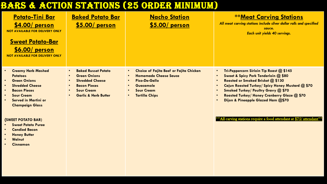## BARS & ACTION STATIONS (25 ORDER MINIMUM)

| <b>Potato-Tini Bar</b><br>$$4.00/$ person<br><b>NOT AVAILABLE FOR DELIVERY ONLY</b><br><b>Sweet Potato-Bar</b><br>$$6.00/$ person<br><b>NOT AVAILABLE FOR DELIVERY ONLY</b>                                                                                         | <b>Baked Potato Bar</b><br>$$5.00/$ person                                                                                                                                                                                               | <b>Nacho Station</b><br>$$5.00/$ person                                                                                                                                                                                                  | <b>**Meat Carving Stations</b><br>All meat carving stations include silver dollar rolls and specified<br>sauce.<br><b>Each unit yields 40 servings.</b>                                                                                                                                                                                                                                     |
|---------------------------------------------------------------------------------------------------------------------------------------------------------------------------------------------------------------------------------------------------------------------|------------------------------------------------------------------------------------------------------------------------------------------------------------------------------------------------------------------------------------------|------------------------------------------------------------------------------------------------------------------------------------------------------------------------------------------------------------------------------------------|---------------------------------------------------------------------------------------------------------------------------------------------------------------------------------------------------------------------------------------------------------------------------------------------------------------------------------------------------------------------------------------------|
| <b>Creamy Herb Mashed</b><br>$\bullet$<br><b>Potatoes</b><br><b>Green Onions</b><br>$\bullet$<br><b>Shredded Cheese</b><br>$\bullet$<br><b>Bacon Pieces</b><br><b>Sour Cream</b><br>$\bullet$<br><b>Served in Martini or</b><br>$\bullet$<br><b>Champaign Glass</b> | <b>Baked Russet Potato</b><br>$\bullet$<br><b>Green Onions</b><br>$\bullet$<br><b>Shredded Cheese</b><br>$\bullet$<br><b>Bacon Pieces</b><br>$\bullet$<br><b>Sour Cream</b><br>$\bullet$<br><b>Garlic &amp; Herb Butter</b><br>$\bullet$ | <b>Choice of Fajita Beef or Fajita Chicken</b><br>$\bullet$<br><b>Homemade Cheese Sauce</b><br>$\bullet$<br>Pico-De-Gallo<br>$\bullet$<br>Guacamole<br>$\bullet$<br><b>Sour Cream</b><br>$\bullet$<br><b>Tortilla Chips</b><br>$\bullet$ | Tri-Peppercorn Sirloin Tip Roast @ \$145<br>$\bullet$<br>Sweet & Spicy Pork Tenderloin @ \$80<br>$\bullet$<br>Roasted or Smoked Brisket @ \$130<br>$\bullet$<br>Cajun Roasted Turkey/ Spicy Honey Mustard @ \$70<br>$\bullet$<br><b>Smoked Turkey/ Poultry Gravy @ \$70</b><br>$\bullet$<br>Roasted Turkey/ Honey Cranberry Glaze @ \$70<br>$\bullet$<br>Dijon & Pineapple Glazed Ham @\$70 |

#### **{SWEET POTATO BAR)**

- **Sweet Potato Puree**
- **Candied Bacon**
- **Honey Butter**
- **Walnut**
- **Cinnamon**

\*\*All carving stations require a food attendant at \$75/ attendant\*\*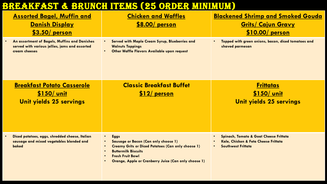## BREAKFAST & BRUNCH ITEMS (25 ORDER MINIMUM)

| <b>Assorted Bagel, Muffin and</b><br><u>Danish Display</u><br>$$3.50/$ person                                    | <b>Chicken and Waffles</b><br>\$8.00/ person                                                                                                                                                                                                                       | <b>Blackened Shrimp and Smoked Gouda</b><br><b><u>Grits/ Cajun Gravy</u></b><br>\$10.00/ person                        |
|------------------------------------------------------------------------------------------------------------------|--------------------------------------------------------------------------------------------------------------------------------------------------------------------------------------------------------------------------------------------------------------------|------------------------------------------------------------------------------------------------------------------------|
| An assortment of Bagels, Muffins and Danishes<br>served with various jellies, jams and assorted<br>cream cheeses | <b>Served with Maple Cream Syrup, Blueberries and</b><br><b>Walnuts Toppings</b><br><b>Other Waffle Flavors Available upon request</b><br>$\bullet$                                                                                                                | Topped with green onions, bacon, diced tomatoes and<br>shaved parmesan                                                 |
| <b>Breakfast Potato Casserole</b><br>\$150/ unit<br>Unit yields 25 servings                                      | <b>Classic Breakfast Buffet</b><br>\$12/ person                                                                                                                                                                                                                    | <b>Frittatas</b><br><u>\$150/ unit</u><br>Unit yields 25 servings                                                      |
| Diced potatoes, eggs, shredded cheese, Italian<br>sausage and mixed vegetables blended and<br>baked              | <b>Eggs</b><br>$\bullet$<br><b>Sausage or Bacon (Can only choose 1)</b><br><b>Creamy Grits or Diced Potatoes (Can only choose 1)</b><br><b>Buttermilk Biscuits</b><br>$\bullet$<br><b>Fresh Fruit Bowl</b><br>Orange, Apple or Cranberry Juice (Can only choose 1) | <b>Spinach, Tomato &amp; Goat Cheese Frittata</b><br>Kale, Chicken & Feta Cheese Frittata<br><b>Southwest Frittata</b> |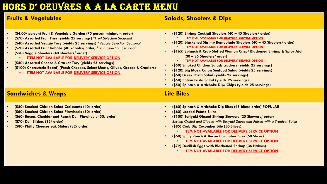## HORS D' OEUVRES & A LA CARTE MENU

| <b>Fruits &amp; Vegetables</b>                                                                                                                                                                                                                                                                                                                                                                                                                                                                                                                                                                                                                                                                                                | <b>Salads, Shooters &amp; Dips</b>                                                                                                                                                                                                                                                                                                                                                                                                                                                                                                                                                                                                                                                                                 |
|-------------------------------------------------------------------------------------------------------------------------------------------------------------------------------------------------------------------------------------------------------------------------------------------------------------------------------------------------------------------------------------------------------------------------------------------------------------------------------------------------------------------------------------------------------------------------------------------------------------------------------------------------------------------------------------------------------------------------------|--------------------------------------------------------------------------------------------------------------------------------------------------------------------------------------------------------------------------------------------------------------------------------------------------------------------------------------------------------------------------------------------------------------------------------------------------------------------------------------------------------------------------------------------------------------------------------------------------------------------------------------------------------------------------------------------------------------------|
| (\$4.00/ person) Fruit & Vegetable Garden (75 person minimum order)<br>$\bullet$<br>(\$70) Assorted Fruit Tray (yields 25 servings) *Fruit Selection Seasonal<br>$\bullet$<br>(\$40) Assorted Veggie Tray (yields 25 servings) *Veggie Selection Seasonal<br>$\bullet$<br>(\$70) Assorted Fruit Kabobs (40 kabobs/ order) *Fruit Selection Seasonal<br>$\bullet$<br>(\$50) Veggie Shooters (40 shooters/ order)<br>$\bullet$<br><b>ITEM NOT AVAILABLE FOR DELIVERY SERVICE OPTION</b><br>(\$50) Assorted Cheese & Cracker Tray (yields 25 servings)<br>$\bullet$<br>(\$100) Charcuterie Board) (Fresh Cheeses, Select Meats, Olives, Grapes & Crackers)<br>$\bullet$<br><b>ITEM NOT AVAILABLE FOR DELIVERY SERVICE OPTION</b> | (\$120) Shrimp Cocktail Shooters (40 - 45 Shooters/ order)<br><b>ITEM NOT AVAILABLE FOR DELIVERY SERVICE OPTION</b><br>(\$120) Blackened Shrimp Remoulade Shooters (40 - 45 Shooters/ order)<br>ITEM NOT AVAILABLE FOR DELIVERY SERVICE OPTION<br>(\$165) Spinach & Crab Stuffed Wonton Crisp/ Blackened Shrimp & Spicy Aioli<br>$(30 - 35$ Shooters/order)<br><b>ITEM NOT AVAILABLE FOR DELIVERY SERVICE OPTION</b><br>(\$50) Smoked Chicken Salad/ crackers (yields 25 servings)<br>(\$120) Big Moe's Cajun Seafood Salad (yields 25 servings)<br>(\$60) Greek Pasta Salad (yields 25 servings)<br>(\$50) Italian Pasta Salad (yields 25 servings)<br>(\$50) Spinach & Artichoke Dip/ Chips (yields 25 servings) |
| <b><u>Sandwiches &amp; Wraps</u></b>                                                                                                                                                                                                                                                                                                                                                                                                                                                                                                                                                                                                                                                                                          | <b>Lite Bites</b>                                                                                                                                                                                                                                                                                                                                                                                                                                                                                                                                                                                                                                                                                                  |
| (\$80) Smoked Chicken Salad Croissants (40/ order)<br>$\bullet$<br>(\$60) Smoked Chicken Salad Pinwheels (50/ order)<br>(\$60) Bacon, Cheddar and Ranch Deli Pinwheels (50/ order)<br>$\bullet$<br>(\$70) Deli Sliders (32/ order)<br>$\bullet$<br>(\$80) Philly Cheesesteak Sliders (32/ order)<br>$\bullet$                                                                                                                                                                                                                                                                                                                                                                                                                 | (\$60) Spinach & Artichoke Dip Bites (48 bites/ order) POPULAR<br>(\$60) Loaded Potato Skins<br>(\$100) Teriyaki Glazed Shrimp Skewers (25 Skewers/ order)<br>Shrimp Grilled and Glazed with Teriyaki Sauce and Paired with a Tropical Salsa<br>(\$85) Crab Dip Cucumber Bite (50 Slices)<br><b>ITEM NOT AVAILABLE FOR DELIVERY SERVICE OPTION</b><br>(\$60) Spicy Ranch & Bacon Cucumber Bites (50 Slices)<br><b>ITEM NOT AVAILABLE FOR DELIVERY SERVICE OPTION</b><br>(\$72) Devilish Eggs with Blackened Shrimp (36 Halves)<br><b>ITEM NOT AVAILABLE FOR DELIVERY SERVICE OPTION</b>                                                                                                                            |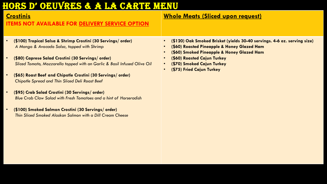## HORS D' OEUVRES & A LA CARTE MENU

### **Crostinis**

#### **ITEMS NOT AVAILABLE FOR DELIVERY SERVICE OPTION**

- **(\$100) Tropical Salsa & Shrimp Crostini (30 Servings/ order)** *A Mango & Avocado Salsa, topped with Shrimp*
- **(\$80) Caprese Salad Crostini (30 Servings/ order)** *Sliced Tomato, Mozzarella topped with an Garlic & Basil Infused Olive Oil*
- **(\$65) Roast Beef and Chipotle Crostini (30 Servings/ order)** *Chipotle Spread and Thin Sliced Deli Roast Beef*
- **(\$95) Crab Salad Crostini (30 Servings/ order)** *Blue Crab Claw Salad with Fresh Tomatoes and a hint of Horseradish*
- **(\$100) Smoked Salmon Crostini (30 Servings/ order)** *Thin Sliced Smoked Alaskan Salmon with a Dill Cream Cheese*

### **Whole Meats (Sliced upon request)**

- **(\$120) Oak Smoked Brisket (yields 30-40 servings. 4-6 oz. serving size)**
- **(\$60) Roasted Pineapple & Honey Glazed Ham**
- **(\$60) Smoked Pineapple & Honey Glazed Ham**
- **(\$60) Roasted Cajun Turkey**
- **(\$70) Smoked Cajun Turkey**
- **(\$75) Fried Cajun Turkey**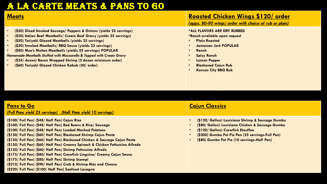### A LA CARTE MEATS & PANS TO GO

- **(\$50) Sliced Smoked Sausage/ Peppers & Onions (yields 25 servings)**
- **(\$50) Italian Beef Meatballs/ Cream Beef Gravy (yields 25 servings)**
- **(\$50) Teriyaki Glazed Meatballs (yields 25 servings)**
- **(\$50) Smoked Meatballs/ BBQ Sauce (yields 25 servings)**
- **(\$80) Moe's Molten Meatballs (yields 25 servings) POPULAR** *Homemade Meatballs Stuffed with Mozzarella & Topped with Cream Gravy*
- **(\$24/ dozen) Bacon Wrapped Shrimp (2 dozen minimum order)**
- **(\$60) Teriyaki Glazed Chicken Kabob (30/ order)**

#### **Meats Roasted Chicken Wings \$120/ order**

*(appx. 80-90 wings/ order with choice of rub or plain)*

#### **\*ALL FLAVORS ARE DRY RUBBED**

**\*Ranch available upon request**

- **Plain Roasted**
- **Jamaican Jerk POPULAR**
- **Ranch**
- **Spicy Ranch**
- **Lemon Pepper**
- **Blackened Cajun Rub**
- **Kansas City BBQ Rub**

q

#### **Pans to Go**  *(Full Pans yield 25 servings) (Half Pans yield 10 servings)* **Cajun Classics (\$100/ Full Pan) (\$48/ Half Pan) Cajun Rice (\$100/ Full Pan) (\$48/ Half Pan) Red Beans & Rice/ Sausage (\$100/ Full Pan) (\$48/ Half Pan) Loaded Mashed Potatoes (\$150/ Full Pan) (\$60/ Half Pan) Blackened Shrimp Cajun Pasta (\$150/ Full Pan) (\$60/ Half Pan) Blackened Chicken & Sausage Cajun Pasta (\$150/ Full Pan) (\$60/ Half Pan) Creamy Spinach & Chicken Fettuccine Alfredo (\$150/ Full Pan) (\$60/ Half Pan) Shrimp Fettuccine Alfredo (\$175/ Full Pan) (\$80/ Half Pan) Crawfish Linguine/ Creamy Cajun Sauce (\$175/ Full Pan) (\$80/ Half Pan) Shrimp Scampi (\$210/ Full Pan) (\$90/ Half Pan) Crab & Shrimp Mac and Cheese (\$220/ Full Pan) (\$100/ Half Pan) Seafood Lasagna** • **(\$120/ Gallon) Louisiana Shrimp & Sausage Gumbo** • **(\$80/ Gallon) Louisiana Chicken & Sausage Gumbo** • **(\$120/ Gallon) Crawfish Etouffee**  • **(\$200) Gumbo Pot Pie Pan (25 servings-Full Pan)** • **(\$80) Gumbo Pot Pie (10 servings-Half Pan)**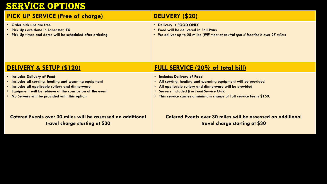### OPTIONS

### **PICK UP SERVICE (Free of charge) DELIVERY (\$20)**

- **Order pick ups are free**
- **Pick Ups are done in Lancaster, TX**
- **Pick Up times and dates will be scheduled after ordering**

- **Delivery is FOOD ONLY**
- **Food will be delivered in Foil Pans**
- **We deliver up to 25 miles (***Will meet at neutral spot if location is over 25 miles***)**

- **Includes Delivery of Food**
- **Includes all serving, heating and warming equipment**
- **Includes all applicable cutlery and dinnerware**
- **Equipment will be retrieve at the conclusion of the event**
- **No Servers will be provided with this option**

### **DELIVERY & SETUP (\$120) FULL SERVICE (20% of total bill)**

- **Includes Delivery of Food**
- **All serving, heating and warming equipment will be provided**
- **All applicable cutlery and dinnerware will be provided**
- q **Servers Included (***For Food Service Only***)**
- **This service carries a minimum charge of full service fee is \$150.**

#### **Catered Events over 30 miles will be assessed an additional travel charge starting at \$30**

**Catered Events over 30 miles will be assessed an additional travel charge starting at \$30**